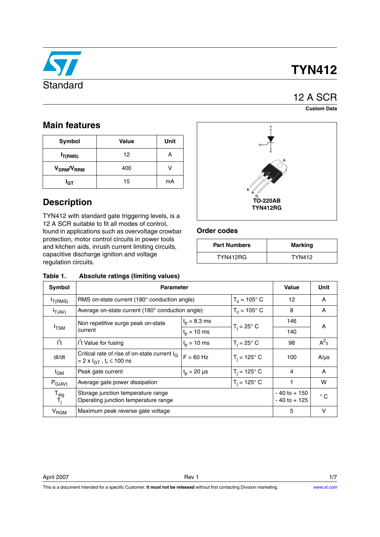

# **TYN412**

## 12 A SCR

**Custom Data**

### **Main features**

| Symbol                             | <b>Value</b> |    |
|------------------------------------|--------------|----|
| $I_{T(RMS)}$                       | 12           | Α  |
| V <sub>DRM</sub> /V <sub>RRM</sub> | 400          |    |
| I <sub>GT</sub>                    | 15           | mA |

### **Description**

TYN412 with standard gate triggering levels, is a 12 A SCR suitable to fit all modes of control, found in applications such as overvoltage crowbar protection, motor control circuits in power tools and kitchen aids, inrush current limiting circuits, capacitive discharge ignition and voltage regulation circuits.





### **Order codes**

| <b>Part Numbers</b> | Marking       |
|---------------------|---------------|
| TYN412RG            | <b>TYN412</b> |

| IANIG I.                           | Absolute ratings (illuming values)                                                                             |                       |                                    |              |           |
|------------------------------------|----------------------------------------------------------------------------------------------------------------|-----------------------|------------------------------------|--------------|-----------|
| Symbol                             | <b>Parameter</b>                                                                                               | <b>Value</b>          | Unit                               |              |           |
| $I_{T(RMS)}$                       | RMS on-state current $(180^\circ$ conduction angle)                                                            | $T_c = 105^{\circ}$ C |                                    | 12           | A         |
| $I_{T(AV)}$                        | Average on-state current (180° conduction angle)                                                               |                       | $T_c = 105^{\circ}$ C              | 8            | A         |
|                                    | Non repetitive surge peak on-state                                                                             | $t_p = 8.3$ ms        |                                    | 146          | A         |
| $I$ <sub>TSM</sub><br>current      | $t_{p} = 10$ ms                                                                                                | $T_i = 25^\circ$ C    | 140                                |              |           |
| $I^2t$                             | I <sup>'</sup> t Value for fusing                                                                              | $t_p = 10$ ms         | $T_i = 25^\circ$ C                 | 98           | $A^2$ s   |
| dl/dt                              | Critical rate of rise of on-state current I <sub>G</sub><br>$= 2 \times I_{GT}$ , t <sub>r</sub> $\leq 100$ ns | $F = 60$ Hz           | $T_i = 125^\circ$ C                | 100          | $A/\mu s$ |
| <sup>I</sup> GM                    | Peak gate current                                                                                              | $t_{p} = 20 \,\mu s$  | $T_i = 125^\circ C$                | 4            | A         |
| $P_{G(AV)}$                        | $T_i = 125^\circ$ C<br>Average gate power dissipation                                                          |                       |                                    | w            |           |
| $T_{\text{stg}}$<br>$T_{\text{j}}$ | Storage junction temperature range<br>Operating junction temperature range                                     |                       | $-40$ to $+150$<br>$-40$ to $+125$ | $^{\circ}$ C |           |
| V <sub>RGM</sub>                   | Maximum peak reverse gate voltage                                                                              |                       |                                    | 5            | v         |

April 2007 Rev 1 1/7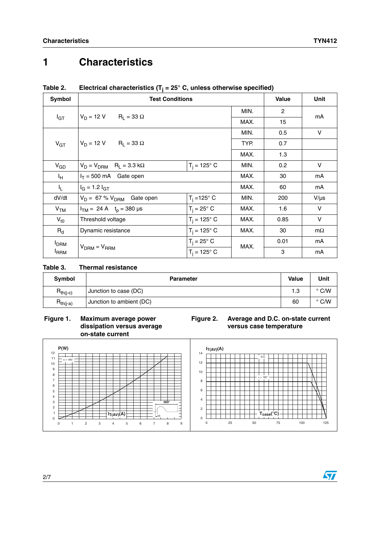MIN. 0.5 V

## **1 Characteristics**

| .<br>$\frac{1}{2}$ . The primary construction is the state of all allows of the choice opposition is |              |                        |      |              |      |
|------------------------------------------------------------------------------------------------------|--------------|------------------------|------|--------------|------|
| Symbol                                                                                               |              | <b>Test Conditions</b> |      | <b>Value</b> | Unit |
|                                                                                                      |              | $R_1 = 33 \Omega$      | MIN. |              | mA   |
| <sup>I</sup> GT                                                                                      | $V_D = 12 V$ |                        | MAX. | 15           |      |

### **Table 2. Electrical characteristics (Tj = 25° C, unless otherwise specified)**

| $V_{GT}$        | $V_D = 12 V$<br>$R_1 = 33 \Omega$               |                       | TYP. | 0.7  |           |
|-----------------|-------------------------------------------------|-----------------------|------|------|-----------|
|                 |                                                 |                       | MAX. | 1.3  |           |
| $V_{GD}$        | $V_D = V_{DRM}$ R <sub>L</sub> = 3.3 k $\Omega$ | $T_i = 125^{\circ} C$ | MIN. | 0.2  | v         |
| Iн              | $I_T = 500$ mA Gate open                        |                       | MAX. | 30   | mA        |
| I <sub>L</sub>  | $I_G = 1.2 I_{GT}$                              |                       | MAX. | 60   | mA        |
| dV/dt           | $V_D = 67 \% V_{DRM}$ Gate open                 | $T_i = 125^\circ$ C   | MIN. | 200  | $V/\mu s$ |
| V <sub>TM</sub> | $I_{TM} = 24 A$ $t_0 = 380 \text{ }\mu\text{s}$ | $T_i = 25^\circ$ C    | MAX. | 1.6  | v         |
| $V_{\text{t0}}$ | Threshold voltage                               | $T_i = 125^\circ C$   | MAX. | 0.85 | $\vee$    |
| $R_{d}$         | Dynamic resistance                              | $T_i = 125^\circ$ C   | MAX. | 30   | $m\Omega$ |
| <b>I</b> DRM    |                                                 | $T_i = 25^\circ$ C    | MAX. | 0.01 | mA        |
| <b>IRRM</b>     | $V_{DRM} = V_{RRM}$                             | $T_i = 125^\circ$ C   |      | 3    | mA        |

### **Table 3. Thermal resistance**

| Symbol        | <b>Parameter</b>         | <b>Value</b> | Unit          |
|---------------|--------------------------|--------------|---------------|
| $R_{th(j-c)}$ | Junction to case (DC)    | 1.3          | C/W<br>۰      |
| $R_{th(j-a)}$ | Junction to ambient (DC) | 60           | $\degree$ C/W |

#### Figure 1. **Maximum average power dissipation versus average on-state current**

### **Figure 2. Average and D.C. on-state current versus case temperature**

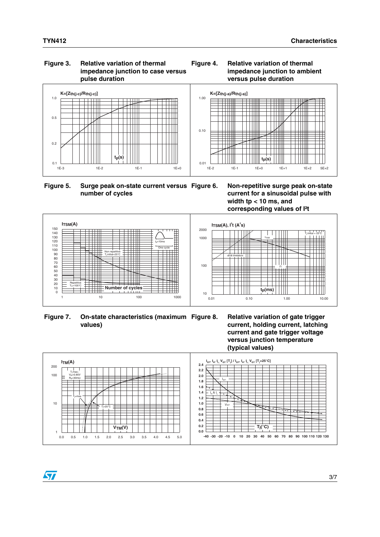#### **Figure 3. Relative variation of thermal impedance junction to case versus pulse duration**



**Figure 5. Surge peak on-state current versus number of cycles**

**Figure 6. Non-repetitive surge peak on-state current for a sinusoidal pulse with width tp < 10 ms, and**  1E-2 1E-1 1E+0 1E+1 1E+2 5E+2



 $t_p(s)$ 

**Figure 4. Relative variation of thermal** 

──────

 $\top$  if it is the set of  $\top$ 

**versus pulse duration** 

**impedance junction to ambient** 

 $\top$   $\top$ 

TTTTI

. . . . .

 $\Box$ 



0.01

0.10

1.00

 $K=[Z_{th(j-a)}/R_{th(j-a)}]$ 

Figure 7. **On-state characteristics (maximum Figure 8. values)**





 $\sqrt{}$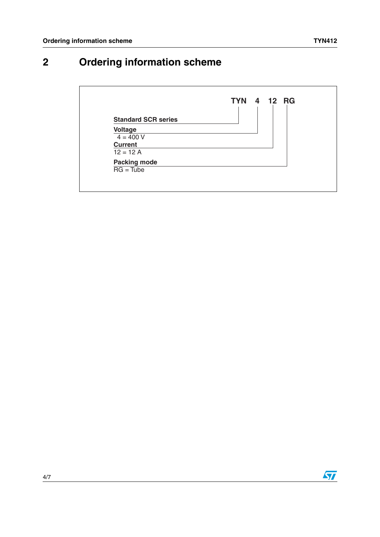## **2 Ordering information scheme**



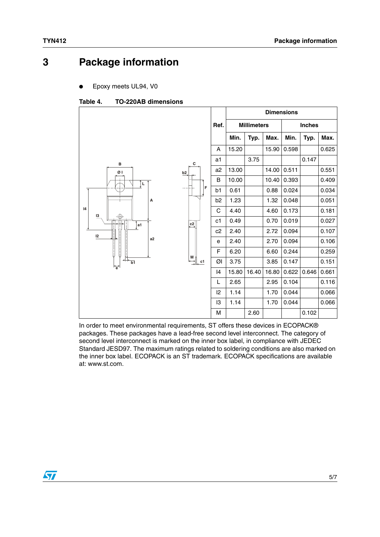## **3 Package information**

Epoxy meets UL94, V0

#### Table 4. **Table 4. TO-220AB dimensions**

|           |                |                | <b>Dimensions</b>  |       |       |               |       |       |  |
|-----------|----------------|----------------|--------------------|-------|-------|---------------|-------|-------|--|
|           |                | Ref.           | <b>Millimeters</b> |       |       | <b>Inches</b> |       |       |  |
|           |                |                | Min.               | Typ.  | Max.  | Min.          | Typ.  | Max.  |  |
|           |                | A              | 15.20              |       | 15.90 | 0.598         |       | 0.625 |  |
| в         | c              | a1             |                    | 3.75  |       |               | 0.147 |       |  |
| ØΙ        | b2             | a2             | 13.00              |       | 14.00 | 0.511         |       | 0.551 |  |
| L         |                | B              | 10.00              |       | 10.40 | 0.393         |       | 0.409 |  |
|           | F<br>$- - -$   | b1             | 0.61               |       | 0.88  | 0.024         |       | 0.034 |  |
| А         |                | b <sub>2</sub> | 1.23               |       | 1.32  | 0.048         |       | 0.051 |  |
| 4<br>13   |                | C              | 4.40               |       | 4.60  | 0.173         |       | 0.181 |  |
| Ŧ<br>1a1∫ | c <sub>2</sub> | c1             | 0.49               |       | 0.70  | 0.019         |       | 0.027 |  |
| 12        |                | c2             | 2.40               |       | 2.72  | 0.094         |       | 0.107 |  |
| a2        |                | e              | 2.40               |       | 2.70  | 0.094         |       | 0.106 |  |
| U         |                | F              | 6.20               |       | 6.60  | 0.244         |       | 0.259 |  |
| b1        | M<br>c1        | ØI             | 3.75               |       | 3.85  | 0.147         |       | 0.151 |  |
| <b>。</b>  |                | 14             | 15.80              | 16.40 | 16.80 | 0.622         | 0.646 | 0.661 |  |
|           |                | L              | 2.65               |       | 2.95  | 0.104         |       | 0.116 |  |
|           |                | 2              | 1.14               |       | 1.70  | 0.044         |       | 0.066 |  |
|           |                | 13             | 1.14               |       | 1.70  | 0.044         |       | 0.066 |  |
|           |                | M              |                    | 2.60  |       |               | 0.102 |       |  |

In order to meet environmental requirements, ST offers these devices in ECOPACK® packages. These packages have a lead-free second level interconnect. The category of second level interconnect is marked on the inner box label, in compliance with JEDEC Standard JESD97. The maximum ratings related to soldering conditions are also marked on the inner box label. ECOPACK is an ST trademark. ECOPACK specifications are available at: www.st.com.

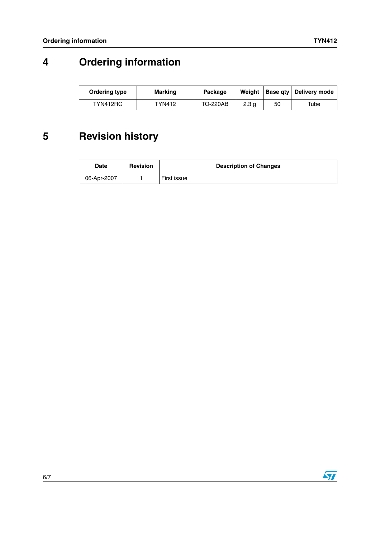# **4 Ordering information**

| Ordering type | Marking       | Package         | Weiaht |    | Base gty Delivery mode |
|---------------|---------------|-----------------|--------|----|------------------------|
| TYN412RG      | <b>TYN412</b> | <b>TO-220AB</b> | 2.3 a  | 50 | Tube                   |

# **5 Revision history**

| Date        | <b>Revision</b> | <b>Description of Changes</b> |
|-------------|-----------------|-------------------------------|
| 06-Apr-2007 |                 | First issue                   |